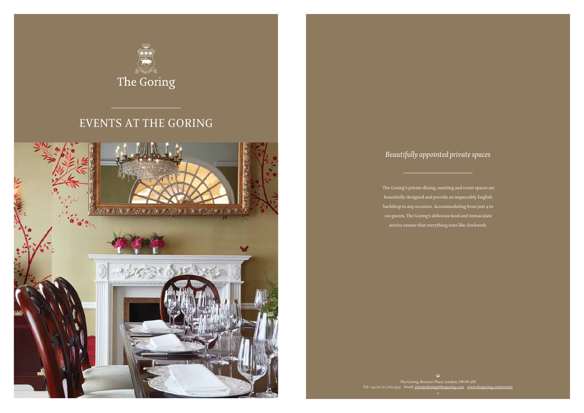

## EVENTS AT THE GORING

The Goring, Beeston Place, London, SW1W 0JW Tel: +44 (0) 20 7769 4555 Email: privatedining@thegoring.com www.thegoring.com/events



The Goring's private dining, meeting and event spaces are beautifully designed and provide an impeccably English backdrop to any occasion. Accommodating from just 4 to 100 guests, The Goring's delicious food and immaculate service ensure that everything runs like clockwork.

### *Beautifully appointed private spaces*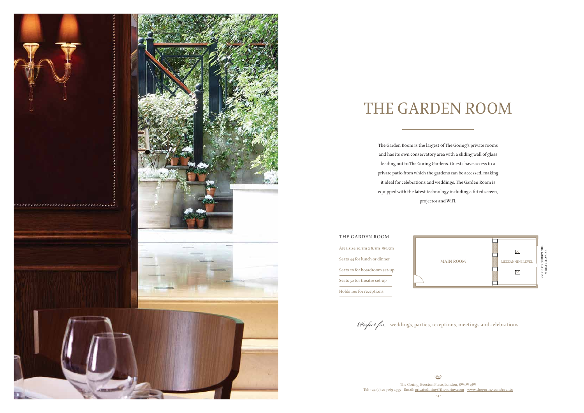The Garden Room is the largest of The Goring's private rooms and has its own conservatory area with a sliding wall of glass leading out to The Goring Gardens. Guests have access to a private patio from which the gardens can be accessed, making it ideal for celebrations and weddings. The Garden Room is equipped with the latest technology including a fitted screen, projector and WiFi.

The Goring, Beeston Place, London, SW1W 0JW Tel: +44 (0) 20 7769 4555 Email: privatedining@thegoring.com www.thegoring.com/events  $\overline{4}$  -



## THE GARDEN ROOM

Area size 10.3m x 8.3m /85.5m Seats 44 for lunch or dinner Seats 20 for boardroom set-up Seats 50 for theatre set-up Holds 100 for receptions

### THE GARDEN ROOM



*Perfect for…* weddings, parties, receptions, meetings and celebrations.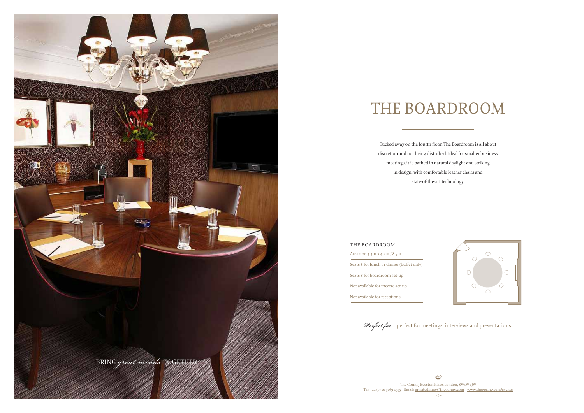Tucked away on the fourth floor, The Boardroom is all about discretion and not being disturbed. Ideal for smaller business meetings, it is bathed in natural daylight and striking in design, with comfortable leather chairs and state-of-the-art technology.

## THE BOARDROOM

The Goring, Beeston Place, London, SW1W 0JW Tel: +44 (0) 20 7769 4555 Email: privatedining@thegoring.com www.thegoring.com/events - 6 -





*Perfect for…* perfect for meetings, interviews and presentations.

Area size 4.4m x 4.2m / 8.5m Seats 8 for lunch or dinner (buffet only) Seats 8 for boardroom set-up Not available for theatre set-up

Not available for receptions

### THE BOARDROOM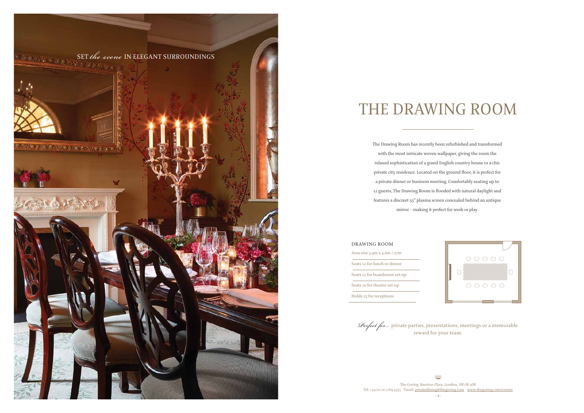# THE DRAWING ROOM

The Drawing Room has recently been refurbished and transformed with the most intricate woven wallpaper, giving the room the relaxed sophistication of a grand English country house or a chic private city residence. Located on the ground floor, it is perfect for a private dinner or business meeting. Comfortably seating up to 12 guests, The Drawing Room is flooded with natural daylight and features a discreet 55" plasma screen concealed behind an antique mirror – making it perfect for work or play.



The Goring, Beeston Place, London, SW1W 0JW Tel: +44 (0) 20 7769 4555 Email: privatedining@thegoring.com www.thegoring.com/events - 8 -



Area size 5.9m x 4.6m / 27m Seats 12 for lunch or dinner Seats 12 for boardroom set-up Seats 20 for theatre set-up Holds 25 for receptions

### DRAWING ROOM

*Perfect for…* private parties, presentations, meetings or a memorable reward for your team.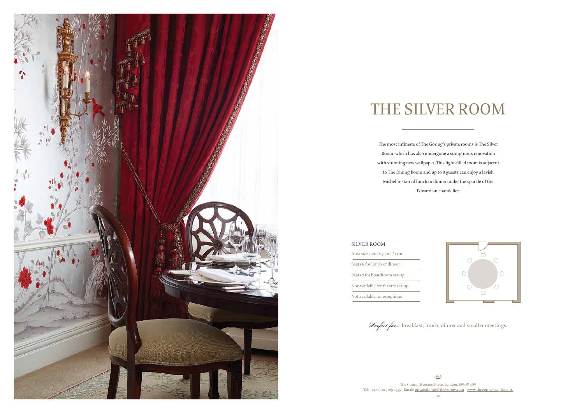

# THE SILVER ROOM

The most intimate of The Goring's private rooms is The Silver Room, which has also undergone a sumptuous renovation with stunning new wallpaper. This light-filled room is adjacent to The Dining Room and up to 8 guests can enjoy a lavish Michelin-starred lunch or dinner under the sparkle of the Edwardian chandelier.

The Goring, Beeston Place, London, SW1W 0JW Tel: +44 (0) 20 7769 4555 Email: privatedining@thegoring.com www.thegoring.com/events



Area size 4.2m x 3.4m / 14m Seats 8 for lunch or dinner Seats 7 for boardroom set-up Not available for theatre set-up Not available for receptions

### SILVER ROOM

*Perfect for…* breakfast, lunch, dinner and smaller meetings.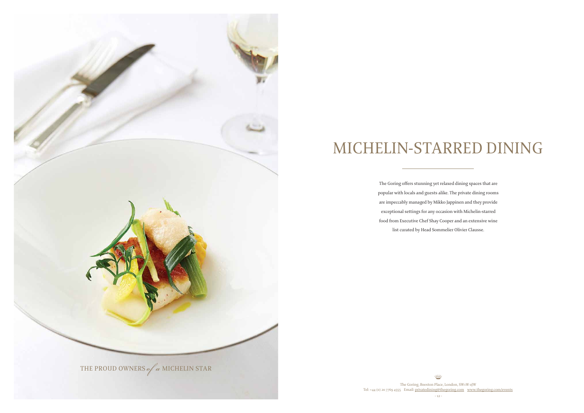# MICHELIN-STARRED DINING

The Goring offers stunning yet relaxed dining spaces that are popular with locals and guests alike. The private dining rooms are impeccably managed by Mikko Jappinen and they provide exceptional settings for any occasion with Michelin-starred food from Executive Chef Shay Cooper and an extensive wine list curated by Head Sommelier Olivier Clausse.

⋒ The Goring, Beeston Place, London, SW1W 0JW Tel: +44 (0) 20 7769 4555 Email: privatedining@thegoring.com www.thegoring.com/events - 12 -